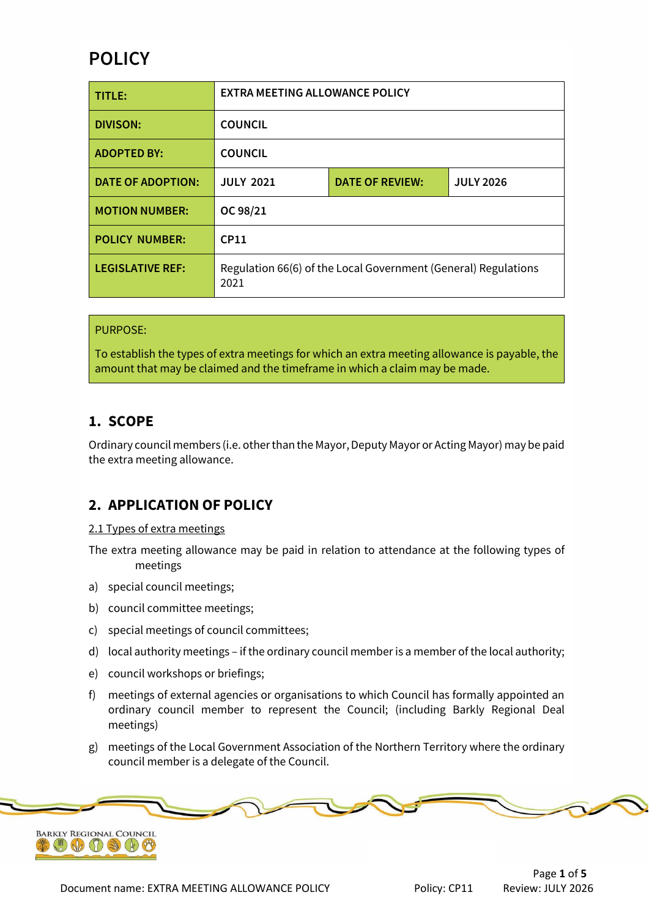# **POLICY**

| TITLE:                   | <b>EXTRA MEETING ALLOWANCE POLICY</b>                                  |                        |                  |  |
|--------------------------|------------------------------------------------------------------------|------------------------|------------------|--|
| <b>DIVISON:</b>          | <b>COUNCIL</b>                                                         |                        |                  |  |
| <b>ADOPTED BY:</b>       | <b>COUNCIL</b>                                                         |                        |                  |  |
| <b>DATE OF ADOPTION:</b> | <b>JULY 2021</b>                                                       | <b>DATE OF REVIEW:</b> | <b>JULY 2026</b> |  |
| <b>MOTION NUMBER:</b>    | OC 98/21                                                               |                        |                  |  |
| <b>POLICY NUMBER:</b>    | CP11                                                                   |                        |                  |  |
| <b>LEGISLATIVE REF:</b>  | Regulation 66(6) of the Local Government (General) Regulations<br>2021 |                        |                  |  |

#### PURPOSE:

To establish the types of extra meetings for which an extra meeting allowance is payable, the amount that may be claimed and the timeframe in which a claim may be made.

### **1. SCOPE**

Ordinary council members (i.e. other than the Mayor, Deputy Mayor or Acting Mayor) may be paid the extra meeting allowance.

### **2. APPLICATION OF POLICY**

2.1 Types of extra meetings

The extra meeting allowance may be paid in relation to attendance at the following types of meetings

- a) special council meetings;
- b) council committee meetings;
- c) special meetings of council committees;
- d) local authority meetings if the ordinary council member is a member of the local authority;
- e) council workshops or briefings;
- f) meetings of external agencies or organisations to which Council has formally appointed an ordinary council member to represent the Council; (including Barkly Regional Deal meetings)
- g) meetings of the Local Government Association of the Northern Territory where the ordinary council member is a delegate of the Council.

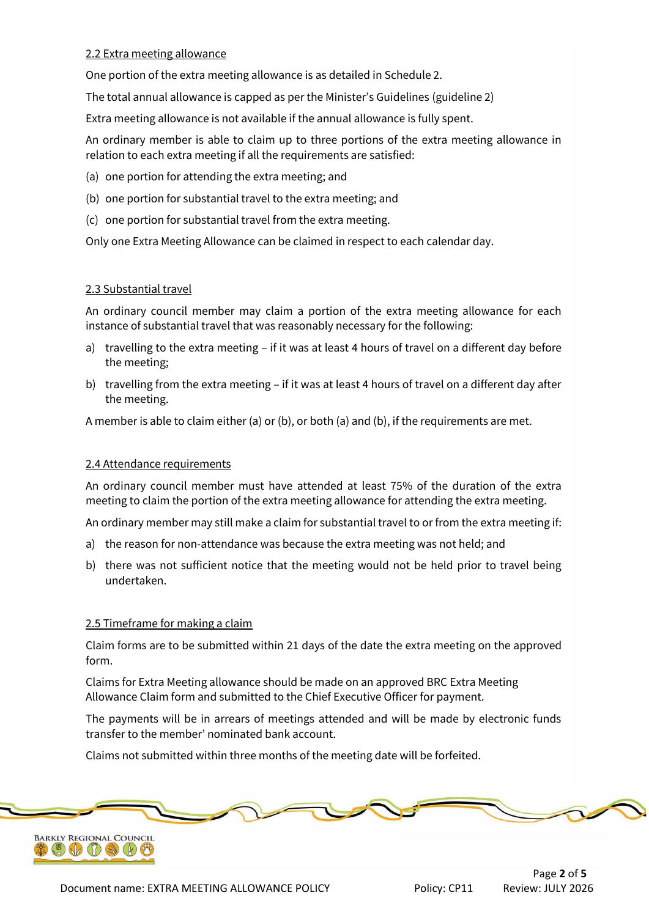### 2.2 Extra meeting allowance

One portion of the extra meeting allowance is as detailed in Schedule 2.

The total annual allowance is capped as per the Minister's Guidelines (guideline 2)

Extra meeting allowance is not available if the annual allowance is fully spent.

An ordinary member is able to claim up to three portions of the extra meeting allowance in relation to each extra meeting if all the requirements are satisfied:

- (a) one portion for attending the extra meeting; and
- (b) one portion for substantial travel to the extra meeting; and
- (c) one portion for substantial travel from the extra meeting.

Only one Extra Meeting Allowance can be claimed in respect to each calendar day.

#### 2.3 Substantial travel

An ordinary council member may claim a portion of the extra meeting allowance for each instance of substantial travel that was reasonably necessary for the following:

- a) travelling to the extra meeting if it was at least 4 hours of travel on a different day before the meeting;
- b) travelling from the extra meeting if it was at least 4 hours of travel on a different day after the meeting.

A member is able to claim either (a) or (b), or both (a) and (b), if the requirements are met.

#### 2.4 Attendance requirements

An ordinary council member must have attended at least 75% of the duration of the extra meeting to claim the portion of the extra meeting allowance for attending the extra meeting.

An ordinary member may still make a claim for substantial travel to or from the extra meeting if:

- a) the reason for non-attendance was because the extra meeting was not held; and
- b) there was not sufficient notice that the meeting would not be held prior to travel being undertaken.

### 2.5 Timeframe for making a claim

Claim forms are to be submitted within 21 days of the date the extra meeting on the approved form.

Claims for Extra Meeting allowance should be made on an approved BRC Extra Meeting Allowance Claim form and submitted to the Chief Executive Officer for payment.

The payments will be in arrears of meetings attended and will be made by electronic funds transfer to the member' nominated bank account.

Claims not submitted within three months of the meeting date will be forfeited.

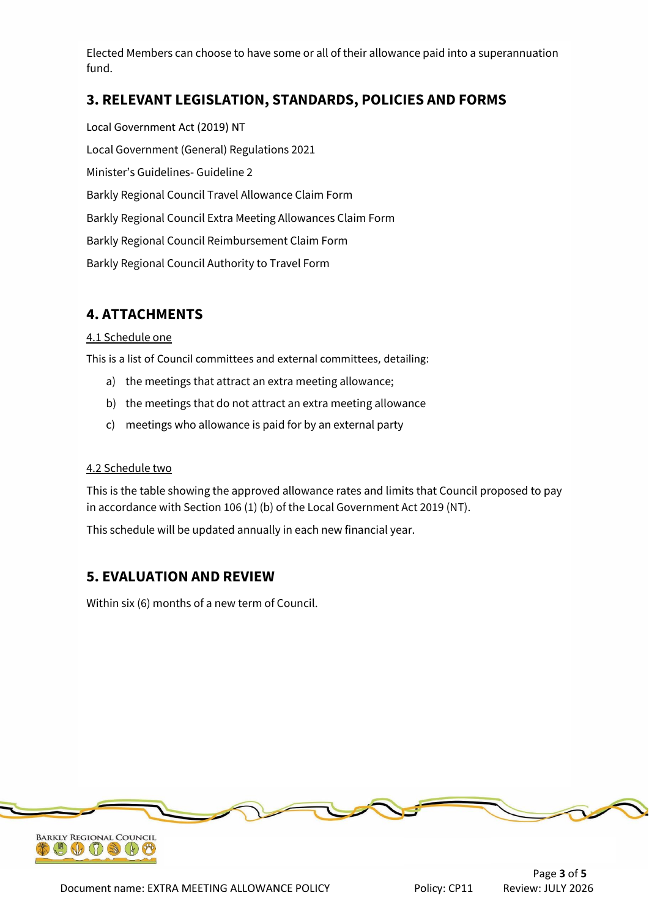Elected Members can choose to have some or all of their allowance paid into a superannuation fund.

## **3. RELEVANT LEGISLATION, STANDARDS, POLICIES AND FORMS**

Local Government Act (2019) NT Local Government (General) Regulations 2021 Minister's Guidelines- Guideline 2 Barkly Regional Council Travel Allowance Claim Form Barkly Regional Council Extra Meeting Allowances Claim Form Barkly Regional Council Reimbursement Claim Form Barkly Regional Council Authority to Travel Form

# **4. ATTACHMENTS**

### 4.1 Schedule one

This is a list of Council committees and external committees, detailing:

- a) the meetings that attract an extra meeting allowance;
- b) the meetings that do not attract an extra meeting allowance
- c) meetings who allowance is paid for by an external party

### 4.2 Schedule two

This is the table showing the approved allowance rates and limits that Council proposed to pay in accordance with Section 106 (1) (b) of the Local Government Act 2019 (NT).

This schedule will be updated annually in each new financial year.

### **5. EVALUATION AND REVIEW**

Within six (6) months of a new term of Council.



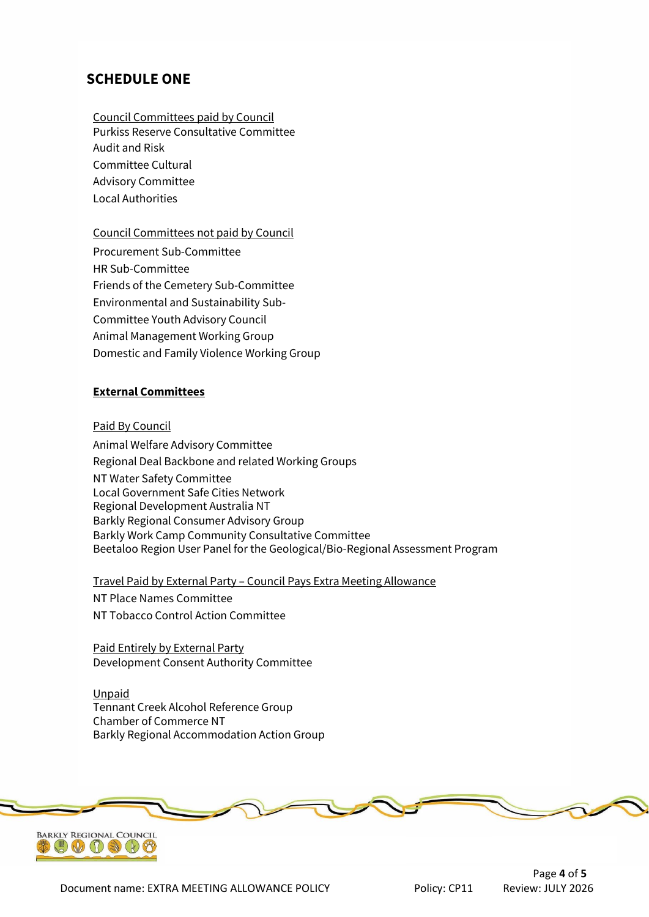### **SCHEDULE ONE**

Council Committees paid by Council Purkiss Reserve Consultative Committee Audit and Risk Committee Cultural Advisory Committee Local Authorities

Council Committees not paid by Council Procurement Sub-Committee HR Sub-Committee Friends of the Cemetery Sub-Committee Environmental and Sustainability Sub-Committee Youth Advisory Council Animal Management Working Group Domestic and Family Violence Working Group

### **External Committees**

#### Paid By Council

Animal Welfare Advisory Committee Regional Deal Backbone and related Working Groups NT Water Safety Committee Local Government Safe Cities Network Regional Development Australia NT Barkly Regional Consumer Advisory Group Barkly Work Camp Community Consultative Committee Beetaloo Region User Panel for the Geological/Bio-Regional Assessment Program

Travel Paid by External Party – Council Pays Extra Meeting Allowance

NT Place Names Committee NT Tobacco Control Action Committee

Paid Entirely by External Party Development Consent Authority Committee

Unpaid Tennant Creek Alcohol Reference Group Chamber of Commerce NT Barkly Regional Accommodation Action Group